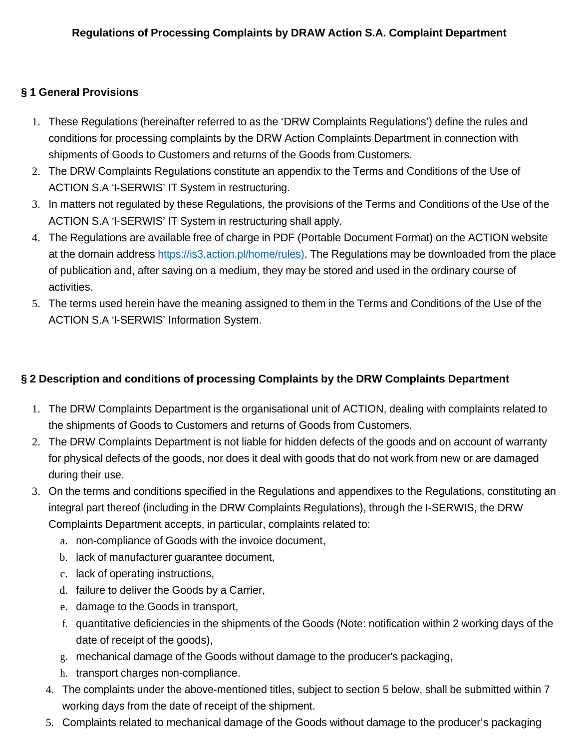## **§ 1 General Provisions**

- 1. These Regulations (hereinafter referred to as the 'DRW Complaints Regulations') define the rules and conditions for processing complaints by the DRW Action Complaints Department in connection with shipments of Goods to Customers and returns of the Goods from Customers.
- 2. The DRW Complaints Regulations constitute an appendix to the Terms and Conditions of the Use of ACTION S.A 'I-SERWIS' IT System in restructuring.
- 3. In matters not regulated by these Regulations, the provisions of the Terms and Conditions of the Use of the ACTION S.A 'I-SERWIS' IT System in restructuring shall apply.
- 4. The Regulations are available free of charge in PDF (Portable Document Format) on the ACTION website at the domain address https://is3.action.pl/home/rules). The Regulations may be downloaded from the place of publication and, after saving on a medium, they may be stored and used in the ordinary course of activities.
- 5. The terms used herein have the meaning assigned to them in the Terms and Conditions of the Use of the ACTION S.A 'I-SERWIS' Information System.

## **§ 2 Description and conditions of processing Complaints by the DRW Complaints Department**

- 1. The DRW Complaints Department is the organisational unit of ACTION, dealing with complaints related to the shipments of Goods to Customers and returns of Goods from Customers.
- 2. The DRW Complaints Department is not liable for hidden defects of the goods and on account of warranty for physical defects of the goods, nor does it deal with goods that do not work from new or are damaged during their use.
- 3. On the terms and conditions specified in the Regulations and appendixes to the Regulations, constituting an integral part thereof (including in the DRW Complaints Regulations), through the I-SERWIS, the DRW

Complaints Department accepts, in particular, complaints related to:

- a. non-compliance of Goods with the invoice document,
- b. lack of manufacturer guarantee document,
- c. lack of operating instructions,
- d. failure to deliver the Goods by a Carrier,
- e. damage to the Goods in transport,
- f. quantitative deficiencies in the shipments of the Goods (Note: notification within 2 working days of the date of receipt of the goods),
- g. mechanical damage of the Goods without damage to the producer's packaging,
- h. transport charges non-compliance.
- 4. The complaints under the above-mentioned titles, subject to section 5 below, shall be submitted within 7 working days from the date of receipt of the shipment.
- 5. Complaints related to mechanical damage of the Goods without damage to the producer's packaging